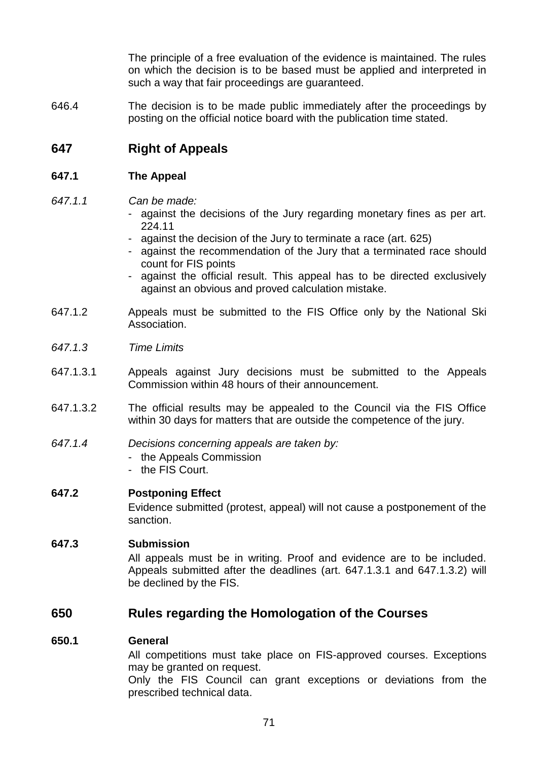The principle of a free evaluation of the evidence is maintained. The rules on which the decision is to be based must be applied and interpreted in such a way that fair proceedings are guaranteed.

646.4 The decision is to be made public immediately after the proceedings by posting on the official notice board with the publication time stated.

# **647 Right of Appeals**

### **647.1 The Appeal**

### *647.1.1 Can be made:*

- against the decisions of the Jury regarding monetary fines as per art. 224.11
- against the decision of the Jury to terminate a race (art. 625)
- against the recommendation of the Jury that a terminated race should count for FIS points
- against the official result. This appeal has to be directed exclusively against an obvious and proved calculation mistake.
- 647.1.2 Appeals must be submitted to the FIS Office only by the National Ski Association.
- *647.1.3 Time Limits*
- 647.1.3.1 Appeals against Jury decisions must be submitted to the Appeals Commission within 48 hours of their announcement.
- 647.1.3.2 The official results may be appealed to the Council via the FIS Office within 30 days for matters that are outside the competence of the jury.
- *647.1.4 Decisions concerning appeals are taken by:*
	- the Appeals Commission
	- the FIS Court.

### **647.2 Postponing Effect**

Evidence submitted (protest, appeal) will not cause a postponement of the sanction.

## **647.3 Submission**

All appeals must be in writing. Proof and evidence are to be included. Appeals submitted after the deadlines (art. 647.1.3.1 and 647.1.3.2) will be declined by the FIS.

## **650 Rules regarding the Homologation of the Courses**

### **650.1 General**

All competitions must take place on FIS-approved courses. Exceptions may be granted on request.

Only the FIS Council can grant exceptions or deviations from the prescribed technical data.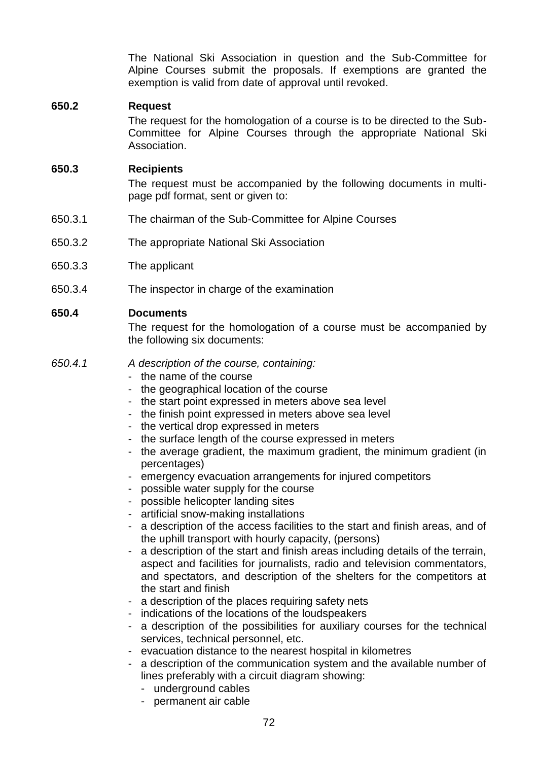The National Ski Association in question and the Sub-Committee for Alpine Courses submit the proposals. If exemptions are granted the exemption is valid from date of approval until revoked.

## **650.2 Request**

The request for the homologation of a course is to be directed to the Sub-Committee for Alpine Courses through the appropriate National Ski Association.

### **650.3 Recipients**

The request must be accompanied by the following documents in multipage pdf format, sent or given to:

- 650.3.1 The chairman of the Sub-Committee for Alpine Courses
- 650.3.2 The appropriate National Ski Association
- 650.3.3 The applicant
- 650.3.4 The inspector in charge of the examination

## **650.4 Documents**

The request for the homologation of a course must be accompanied by the following six documents:

- *650.4.1 A description of the course, containing:*
	- the name of the course
	- the geographical location of the course
	- the start point expressed in meters above sea level
	- the finish point expressed in meters above sea level
	- the vertical drop expressed in meters
	- the surface length of the course expressed in meters
	- the average gradient, the maximum gradient, the minimum gradient (in percentages)
	- emergency evacuation arrangements for injured competitors
	- possible water supply for the course
	- possible helicopter landing sites
	- artificial snow-making installations
	- a description of the access facilities to the start and finish areas, and of the uphill transport with hourly capacity, (persons)
	- a description of the start and finish areas including details of the terrain, aspect and facilities for journalists, radio and television commentators, and spectators, and description of the shelters for the competitors at the start and finish
	- a description of the places requiring safety nets
	- indications of the locations of the loudspeakers
	- a description of the possibilities for auxiliary courses for the technical services, technical personnel, etc.
	- evacuation distance to the nearest hospital in kilometres
	- a description of the communication system and the available number of lines preferably with a circuit diagram showing:
		- underground cables
		- permanent air cable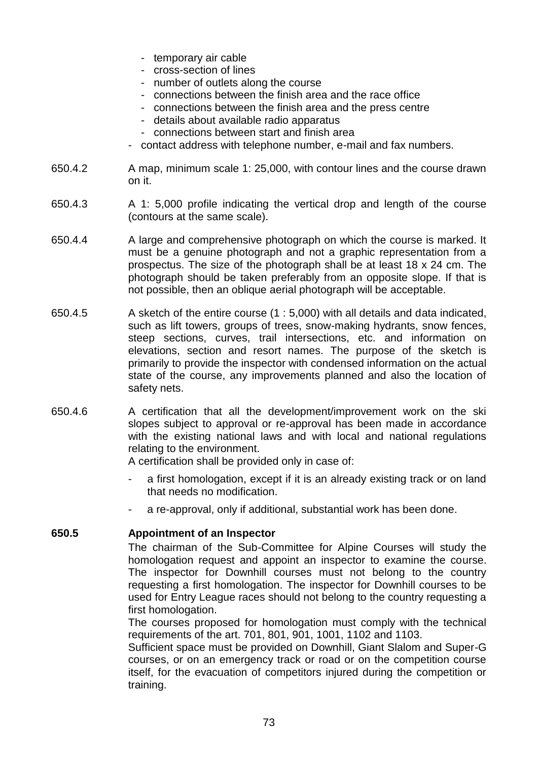- temporary air cable
- cross-section of lines
- number of outlets along the course
- connections between the finish area and the race office
- connections between the finish area and the press centre
- details about available radio apparatus
- connections between start and finish area
- contact address with telephone number, e-mail and fax numbers.
- 650.4.2 A map, minimum scale 1: 25,000, with contour lines and the course drawn on it.
- 650.4.3 A 1: 5,000 profile indicating the vertical drop and length of the course (contours at the same scale).
- 650.4.4 A large and comprehensive photograph on which the course is marked. It must be a genuine photograph and not a graphic representation from a prospectus. The size of the photograph shall be at least 18 x 24 cm. The photograph should be taken preferably from an opposite slope. If that is not possible, then an oblique aerial photograph will be acceptable.
- 650.4.5 A sketch of the entire course (1 : 5,000) with all details and data indicated, such as lift towers, groups of trees, snow-making hydrants, snow fences, steep sections, curves, trail intersections, etc. and information on elevations, section and resort names. The purpose of the sketch is primarily to provide the inspector with condensed information on the actual state of the course, any improvements planned and also the location of safety nets.
- 650.4.6 A certification that all the development/improvement work on the ski slopes subject to approval or re-approval has been made in accordance with the existing national laws and with local and national regulations relating to the environment.

A certification shall be provided only in case of:

- a first homologation, except if it is an already existing track or on land that needs no modification.
- a re-approval, only if additional, substantial work has been done.

## **650.5 Appointment of an Inspector**

The chairman of the Sub-Committee for Alpine Courses will study the homologation request and appoint an inspector to examine the course. The inspector for Downhill courses must not belong to the country requesting a first homologation. The inspector for Downhill courses to be used for Entry League races should not belong to the country requesting a first homologation.

The courses proposed for homologation must comply with the technical requirements of the art. 701, 801, 901, 1001, 1102 and 1103.

Sufficient space must be provided on Downhill, Giant Slalom and Super-G courses, or on an emergency track or road or on the competition course itself, for the evacuation of competitors injured during the competition or training.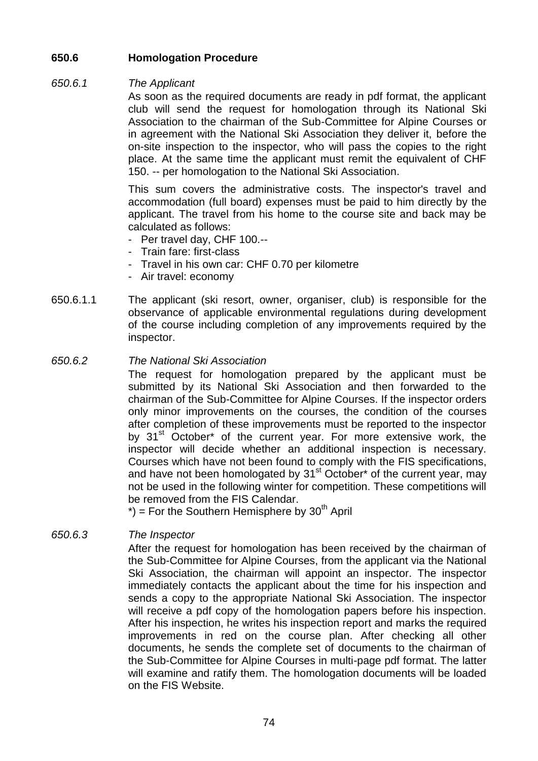## **650.6 Homologation Procedure**

### *650.6.1 The Applicant*

As soon as the required documents are ready in pdf format, the applicant club will send the request for homologation through its National Ski Association to the chairman of the Sub-Committee for Alpine Courses or in agreement with the National Ski Association they deliver it, before the on-site inspection to the inspector, who will pass the copies to the right place. At the same time the applicant must remit the equivalent of CHF 150. -- per homologation to the National Ski Association.

This sum covers the administrative costs. The inspector's travel and accommodation (full board) expenses must be paid to him directly by the applicant. The travel from his home to the course site and back may be calculated as follows:

- Per travel day, CHF 100.--
- Train fare: first-class
- Travel in his own car: CHF 0.70 per kilometre
- Air travel: economy
- 650.6.1.1 The applicant (ski resort, owner, organiser, club) is responsible for the observance of applicable environmental regulations during development of the course including completion of any improvements required by the inspector.
- *650.6.2 The National Ski Association*

The request for homologation prepared by the applicant must be submitted by its National Ski Association and then forwarded to the chairman of the Sub-Committee for Alpine Courses. If the inspector orders only minor improvements on the courses, the condition of the courses after completion of these improvements must be reported to the inspector by 31<sup>st</sup> October\* of the current year. For more extensive work, the inspector will decide whether an additional inspection is necessary. Courses which have not been found to comply with the FIS specifications, and have not been homologated by  $31<sup>st</sup>$  October\* of the current year, may not be used in the following winter for competition. These competitions will be removed from the FIS Calendar.

 $\phi$  = For the Southern Hemisphere by 30<sup>th</sup> April

## *650.6.3 The Inspector*

After the request for homologation has been received by the chairman of the Sub-Committee for Alpine Courses, from the applicant via the National Ski Association, the chairman will appoint an inspector. The inspector immediately contacts the applicant about the time for his inspection and sends a copy to the appropriate National Ski Association. The inspector will receive a pdf copy of the homologation papers before his inspection. After his inspection, he writes his inspection report and marks the required improvements in red on the course plan. After checking all other documents, he sends the complete set of documents to the chairman of the Sub-Committee for Alpine Courses in multi-page pdf format. The latter will examine and ratify them. The homologation documents will be loaded on the FIS Website.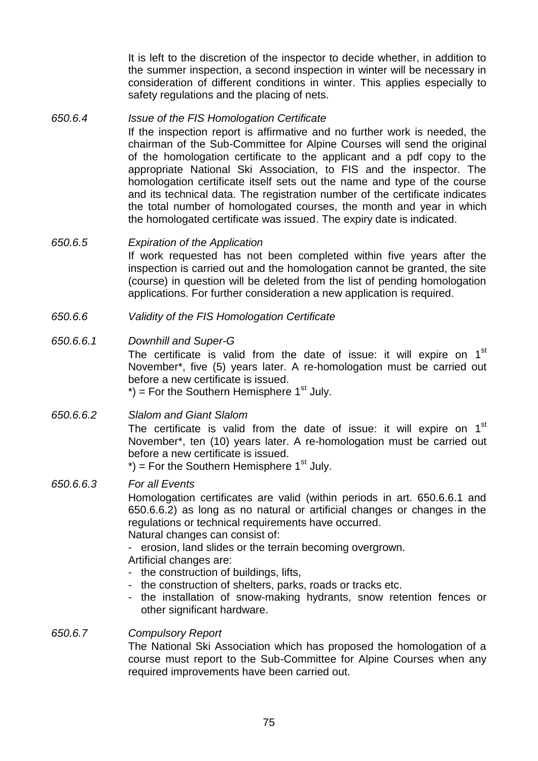It is left to the discretion of the inspector to decide whether, in addition to the summer inspection, a second inspection in winter will be necessary in consideration of different conditions in winter. This applies especially to safety regulations and the placing of nets.

*650.6.4 Issue of the FIS Homologation Certificate* If the inspection report is affirmative and no further work is needed, the chairman of the Sub-Committee for Alpine Courses will send the original of the homologation certificate to the applicant and a pdf copy to the appropriate National Ski Association, to FIS and the inspector. The homologation certificate itself sets out the name and type of the course and its technical data. The registration number of the certificate indicates the total number of homologated courses, the month and year in which the homologated certificate was issued. The expiry date is indicated.

## *650.6.5 Expiration of the Application*

If work requested has not been completed within five years after the inspection is carried out and the homologation cannot be granted, the site (course) in question will be deleted from the list of pending homologation applications. For further consideration a new application is required.

*650.6.6 Validity of the FIS Homologation Certificate*

### *650.6.6.1 Downhill and Super-G*

The certificate is valid from the date of issue: it will expire on  $1<sup>st</sup>$ November\*, five (5) years later. A re-homologation must be carried out before a new certificate is issued.

 $*$ ) = For the Southern Hemisphere 1<sup>st</sup> July.

### *650.6.6.2 Slalom and Giant Slalom*

The certificate is valid from the date of issue: it will expire on  $1<sup>st</sup>$ November\*, ten (10) years later. A re-homologation must be carried out before a new certificate is issued.

 $*$ ) = For the Southern Hemisphere 1<sup>st</sup> July.

### *650.6.6.3 For all Events*

Homologation certificates are valid (within periods in art. 650.6.6.1 and 650.6.6.2) as long as no natural or artificial changes or changes in the regulations or technical requirements have occurred.

Natural changes can consist of:

- erosion, land slides or the terrain becoming overgrown.

Artificial changes are:

- the construction of buildings, lifts,
- the construction of shelters, parks, roads or tracks etc.
- the installation of snow-making hydrants, snow retention fences or other significant hardware.

## *650.6.7 Compulsory Report* The National Ski Association which has proposed the homologation of a course must report to the Sub-Committee for Alpine Courses when any required improvements have been carried out.